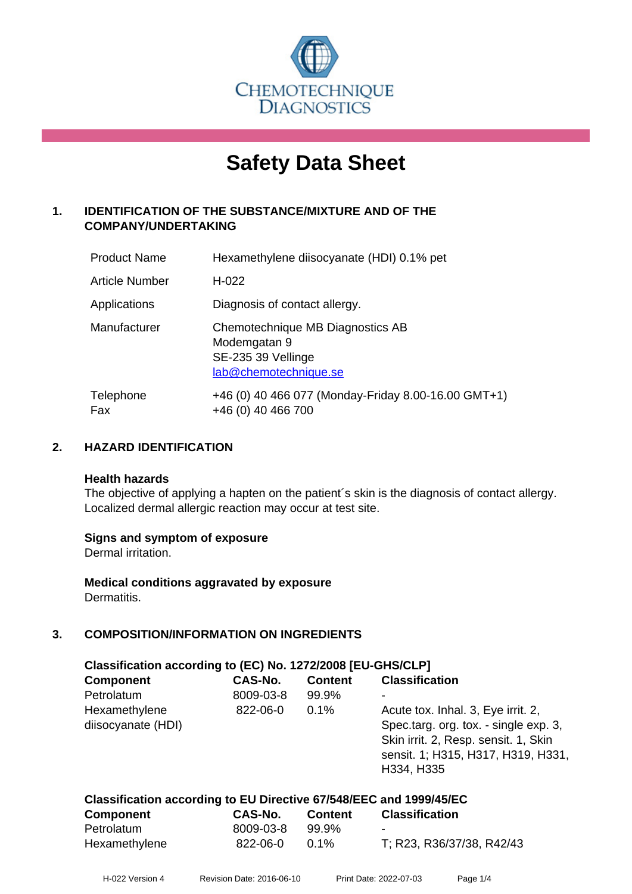

# **Safety Data Sheet**

# **1. IDENTIFICATION OF THE SUBSTANCE/MIXTURE AND OF THE COMPANY/UNDERTAKING**

| <b>Product Name</b>   | Hexamethylene diisocyanate (HDI) 0.1% pet                                                       |
|-----------------------|-------------------------------------------------------------------------------------------------|
| <b>Article Number</b> | $H-022$                                                                                         |
| Applications          | Diagnosis of contact allergy.                                                                   |
| Manufacturer          | Chemotechnique MB Diagnostics AB<br>Modemgatan 9<br>SE-235 39 Vellinge<br>lab@chemotechnique.se |
| Telephone<br>Fax      | +46 (0) 40 466 077 (Monday-Friday 8.00-16.00 GMT+1)<br>+46 (0) 40 466 700                       |

# **2. HAZARD IDENTIFICATION**

#### **Health hazards**

The objective of applying a hapten on the patient's skin is the diagnosis of contact allergy. Localized dermal allergic reaction may occur at test site.

# **Signs and symptom of exposure**

Dermal irritation.

**Medical conditions aggravated by exposure** Dermatitis.

# **3. COMPOSITION/INFORMATION ON INGREDIENTS**

| Classification according to (EC) No. 1272/2008 [EU-GHS/CLP] |                |                |                                                                                                                                                                         |  |
|-------------------------------------------------------------|----------------|----------------|-------------------------------------------------------------------------------------------------------------------------------------------------------------------------|--|
| <b>Component</b>                                            | <b>CAS-No.</b> | <b>Content</b> | <b>Classification</b>                                                                                                                                                   |  |
| Petrolatum                                                  | 8009-03-8      | 99.9%          |                                                                                                                                                                         |  |
| Hexamethylene<br>diisocyanate (HDI)                         | 822-06-0       | 0.1%           | Acute tox. Inhal. 3, Eye irrit. 2,<br>Spec.targ. org. tox. - single exp. 3,<br>Skin irrit. 2, Resp. sensit. 1, Skin<br>sensit. 1; H315, H317, H319, H331,<br>H334, H335 |  |
|                                                             |                |                |                                                                                                                                                                         |  |

| Classification according to EU Directive 67/548/EEC and 1999/45/EC |                                                                            |                                     |                                                  |  |
|--------------------------------------------------------------------|----------------------------------------------------------------------------|-------------------------------------|--------------------------------------------------|--|
| <b>A</b> - --- -- - -- - -- 1                                      | $\begin{array}{c} \mathbf{A} \mathbf{A} \mathbf{A} \mathbf{B} \end{array}$ | $\mathbf{A}$ and a set $\mathbf{A}$ | $\sim$ $\sim$ $\sim$ $\sim$ $\sim$ $\sim$ $\sim$ |  |

| <b>Component</b> | <b>CAS-No.</b> | <b>Content</b> | <b>Classification</b>     |
|------------------|----------------|----------------|---------------------------|
| Petrolatum       | 8009-03-8      | 99.9%          | $\overline{\phantom{a}}$  |
| Hexamethylene    | 822-06-0       | $0.1\%$        | T; R23, R36/37/38, R42/43 |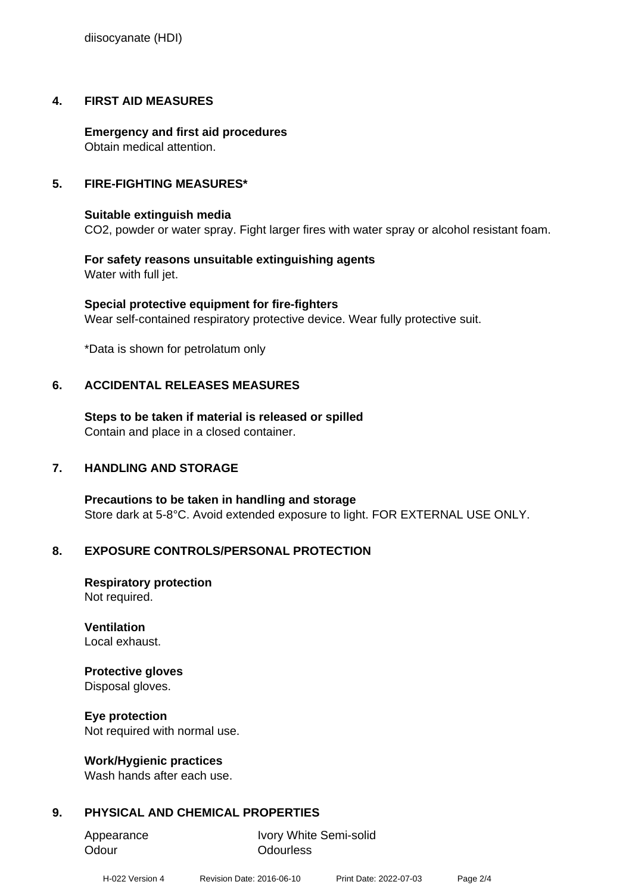diisocyanate (HDI)

# **4. FIRST AID MEASURES**

**Emergency and first aid procedures** Obtain medical attention.

# **5. FIRE-FIGHTING MEASURES\***

# **Suitable extinguish media**

CO2, powder or water spray. Fight larger fires with water spray or alcohol resistant foam.

**For safety reasons unsuitable extinguishing agents** Water with full jet.

**Special protective equipment for fire-fighters** Wear self-contained respiratory protective device. Wear fully protective suit.

\*Data is shown for petrolatum only

# **6. ACCIDENTAL RELEASES MEASURES**

**Steps to be taken if material is released or spilled** Contain and place in a closed container.

# **7. HANDLING AND STORAGE**

**Precautions to be taken in handling and storage** Store dark at 5-8°C. Avoid extended exposure to light. FOR EXTERNAL USE ONLY.

# **8. EXPOSURE CONTROLS/PERSONAL PROTECTION**

**Respiratory protection** Not required.

**Ventilation** Local exhaust.

# **Protective gloves**

Disposal gloves.

**Eye protection**

Not required with normal use.

# **Work/Hygienic practices**

Wash hands after each use.

# **9. PHYSICAL AND CHEMICAL PROPERTIES**

Odour **Odourless** 

Appearance Ivory White Semi-solid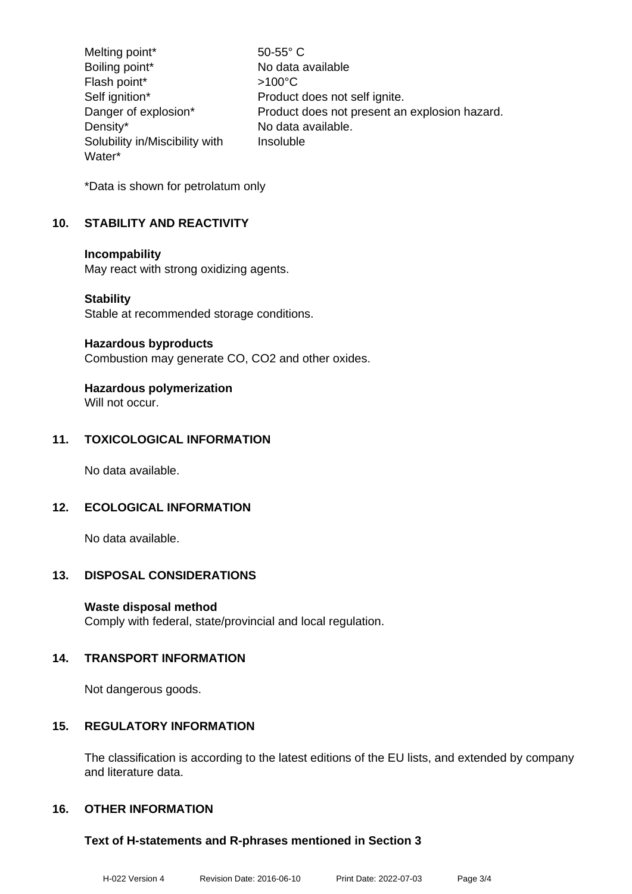Melting point\* 50-55° C Boiling point\* No data available Flash point\*  $>100^{\circ}$ C Self ignition\* Product does not self ignite. Danger of explosion\* Product does not present an explosion hazard. Density\* No data available. Solubility in/Miscibility with Water\* Insoluble

\*Data is shown for petrolatum only

# **10. STABILITY AND REACTIVITY**

#### **Incompability**

May react with strong oxidizing agents.

#### **Stability**

Stable at recommended storage conditions.

#### **Hazardous byproducts**

Combustion may generate CO, CO2 and other oxides.

# **Hazardous polymerization**

Will not occur.

# **11. TOXICOLOGICAL INFORMATION**

No data available.

# **12. ECOLOGICAL INFORMATION**

No data available.

# **13. DISPOSAL CONSIDERATIONS**

# **Waste disposal method**

Comply with federal, state/provincial and local regulation.

# **14. TRANSPORT INFORMATION**

Not dangerous goods.

# **15. REGULATORY INFORMATION**

The classification is according to the latest editions of the EU lists, and extended by company and literature data.

# **16. OTHER INFORMATION**

# **Text of H-statements and R-phrases mentioned in Section 3**